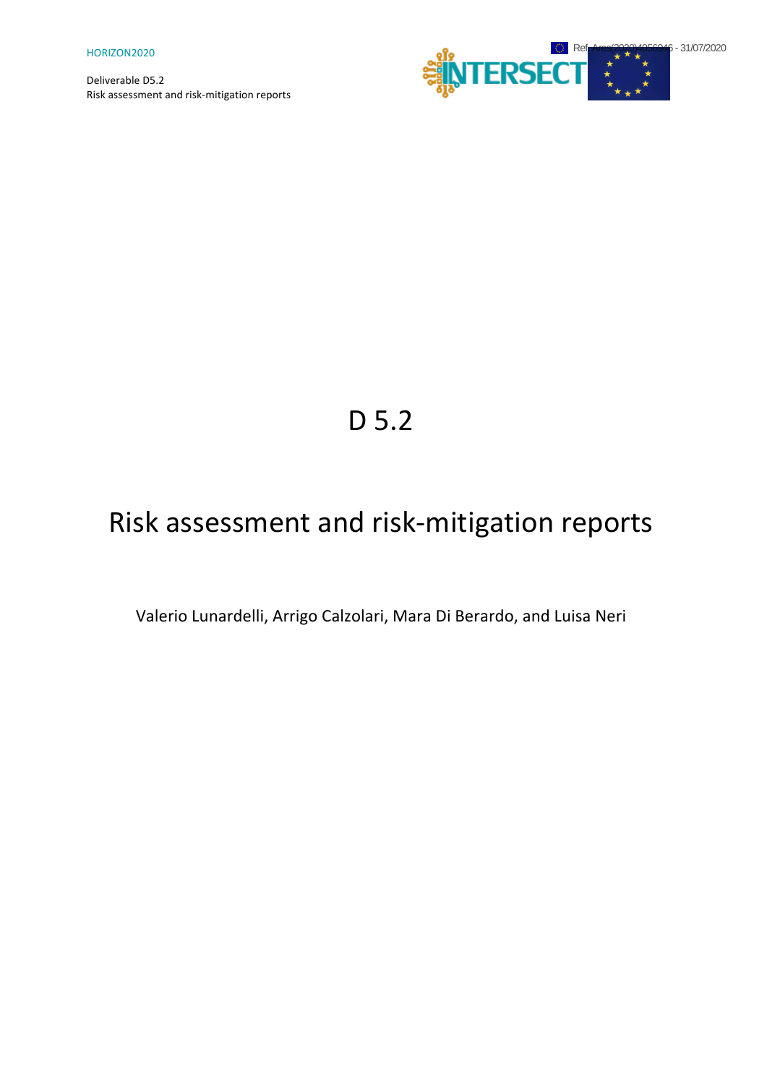

# D 5.2

# Risk assessment and risk-mitigation reports

Valerio Lunardelli, Arrigo Calzolari, Mara Di Berardo, and Luisa Neri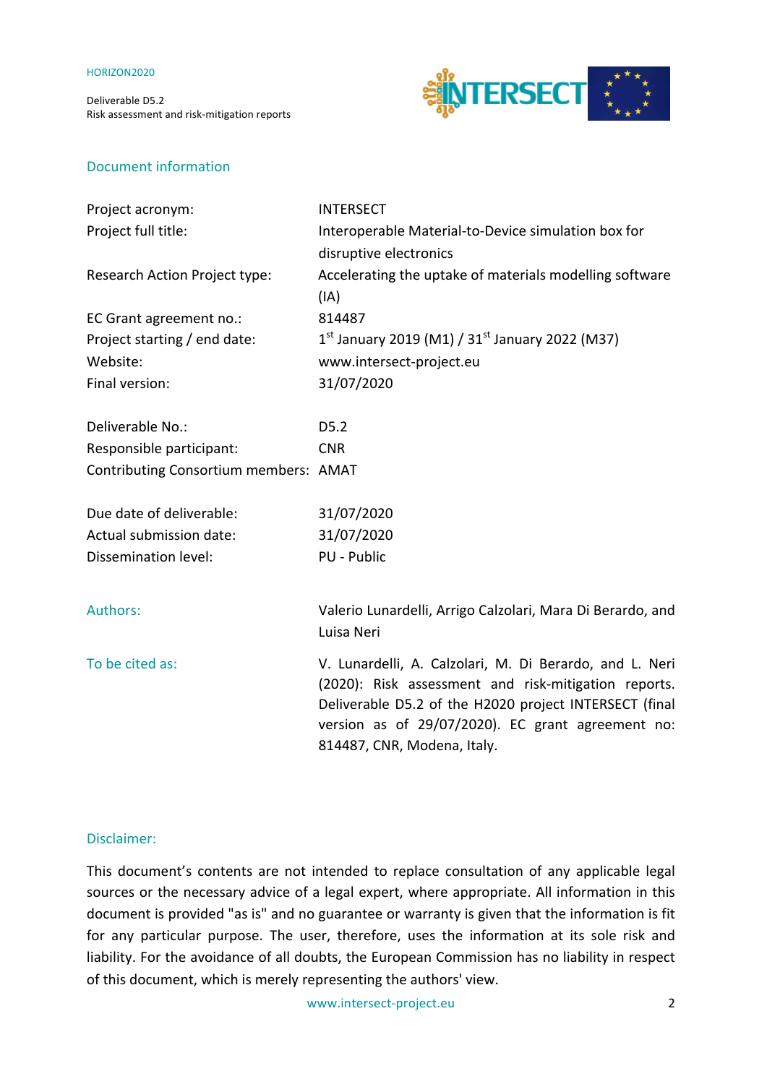Deliverable D5.2 Risk assessment and risk-mitigation reports



#### Document information

| Project acronym:                      | <b>INTERSECT</b>                                                                                                                                                                                                                                              |
|---------------------------------------|---------------------------------------------------------------------------------------------------------------------------------------------------------------------------------------------------------------------------------------------------------------|
| Project full title:                   | Interoperable Material-to-Device simulation box for                                                                                                                                                                                                           |
|                                       | disruptive electronics                                                                                                                                                                                                                                        |
| Research Action Project type:         | Accelerating the uptake of materials modelling software                                                                                                                                                                                                       |
|                                       | (IA)                                                                                                                                                                                                                                                          |
| EC Grant agreement no.:               | 814487                                                                                                                                                                                                                                                        |
| Project starting / end date:          | $1^{st}$ January 2019 (M1) / 31st January 2022 (M37)                                                                                                                                                                                                          |
| Website:                              | www.intersect-project.eu                                                                                                                                                                                                                                      |
| Final version:                        | 31/07/2020                                                                                                                                                                                                                                                    |
| Deliverable No.:                      | D5.2                                                                                                                                                                                                                                                          |
| Responsible participant:              | <b>CNR</b>                                                                                                                                                                                                                                                    |
| Contributing Consortium members: AMAT |                                                                                                                                                                                                                                                               |
| Due date of deliverable:              | 31/07/2020                                                                                                                                                                                                                                                    |
| Actual submission date:               | 31/07/2020                                                                                                                                                                                                                                                    |
| Dissemination level:                  | PU - Public                                                                                                                                                                                                                                                   |
| <b>Authors:</b>                       | Valerio Lunardelli, Arrigo Calzolari, Mara Di Berardo, and                                                                                                                                                                                                    |
|                                       | Luisa Neri                                                                                                                                                                                                                                                    |
| To be cited as:                       | V. Lunardelli, A. Calzolari, M. Di Berardo, and L. Neri<br>(2020): Risk assessment and risk-mitigation reports.<br>Deliverable D5.2 of the H2020 project INTERSECT (final<br>version as of 29/07/2020). EC grant agreement no:<br>814487, CNR, Modena, Italy. |

#### Disclaimer:

This document's contents are not intended to replace consultation of any applicable legal sources or the necessary advice of a legal expert, where appropriate. All information in this document is provided "as is" and no guarantee or warranty is given that the information is fit for any particular purpose. The user, therefore, uses the information at its sole risk and liability. For the avoidance of all doubts, the European Commission has no liability in respect of this document, which is merely representing the authors' view.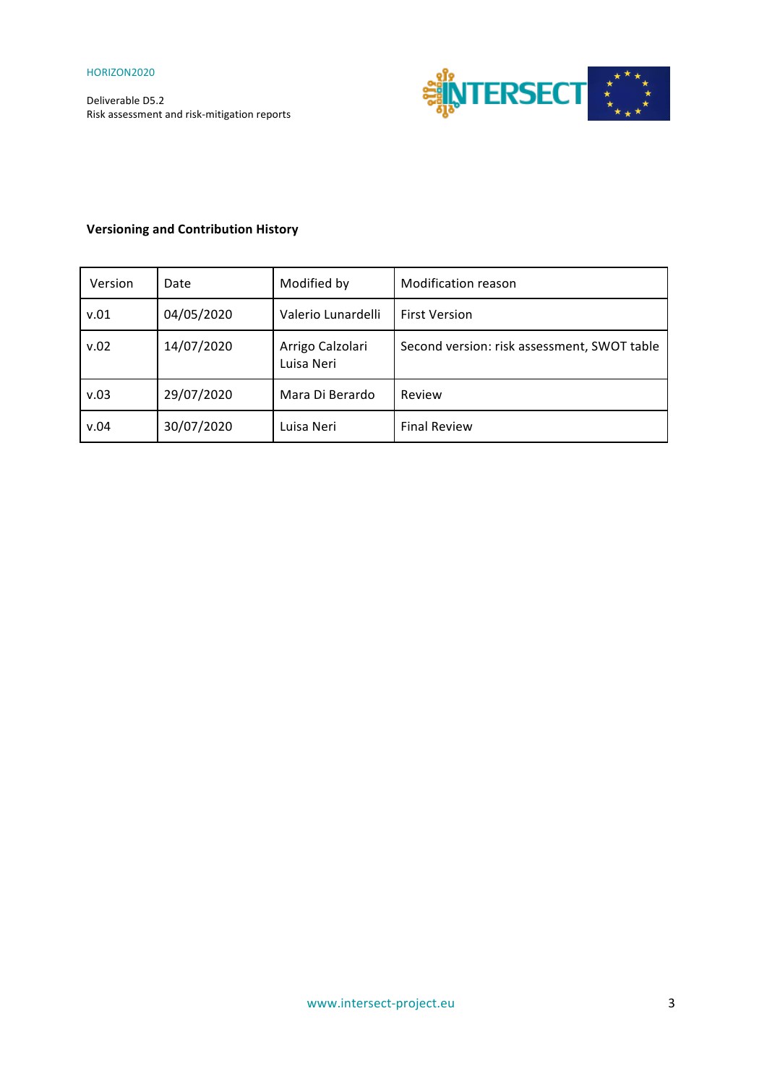

### **Versioning and Contribution History**

| Version | Date       | Modified by                    | Modification reason                         |
|---------|------------|--------------------------------|---------------------------------------------|
| v.01    | 04/05/2020 | Valerio Lunardelli             | <b>First Version</b>                        |
| v.02    | 14/07/2020 | Arrigo Calzolari<br>Luisa Neri | Second version: risk assessment, SWOT table |
| v.03    | 29/07/2020 | Mara Di Berardo                | Review                                      |
| v.04    | 30/07/2020 | Luisa Neri                     | <b>Final Review</b>                         |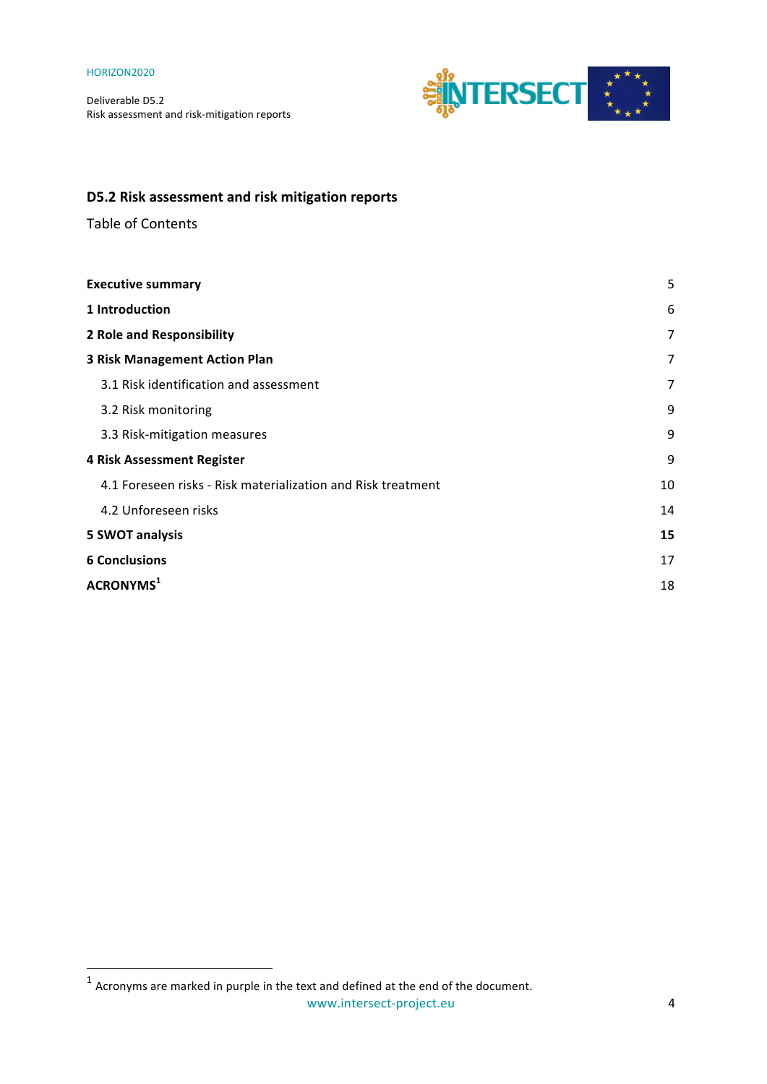Deliverable D5.2 Risk assessment and risk-mitigation reports



## **D5.2 Risk assessment and risk mitigation reports**

Table of Contents

| <b>Executive summary</b>                                     | 5  |
|--------------------------------------------------------------|----|
| 1 Introduction                                               | 6  |
| <b>2 Role and Responsibility</b>                             | 7  |
| <b>3 Risk Management Action Plan</b>                         | 7  |
| 3.1 Risk identification and assessment                       | 7  |
| 3.2 Risk monitoring                                          | 9  |
| 3.3 Risk-mitigation measures                                 | 9  |
| <b>4 Risk Assessment Register</b>                            | 9  |
| 4.1 Foreseen risks - Risk materialization and Risk treatment | 10 |
| 4.2 Unforeseen risks                                         | 14 |
| <b>5 SWOT analysis</b>                                       | 15 |
| <b>6 Conclusions</b>                                         | 17 |
| ACRONYMS <sup>1</sup>                                        | 18 |

<u> 1989 - Jan Samuel Barbara, margaret e</u>

 $^1$  Acronyms are marked in purple in the text and defined at the end of the document.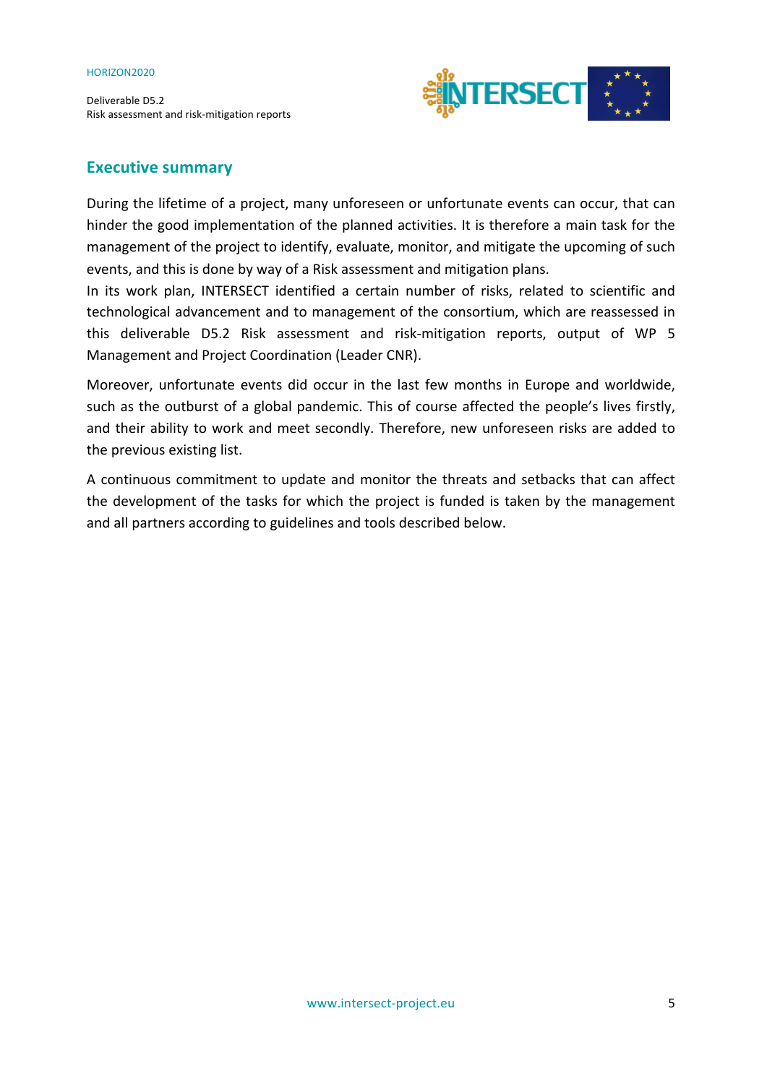Deliverable D5.2 Risk assessment and risk-mitigation reports



#### **Executive summary**

During the lifetime of a project, many unforeseen or unfortunate events can occur, that can hinder the good implementation of the planned activities. It is therefore a main task for the management of the project to identify, evaluate, monitor, and mitigate the upcoming of such events, and this is done by way of a Risk assessment and mitigation plans.

In its work plan, INTERSECT identified a certain number of risks, related to scientific and technological advancement and to management of the consortium, which are reassessed in this deliverable D5.2 Risk assessment and risk-mitigation reports, output of WP 5 Management and Project Coordination (Leader CNR).

Moreover, unfortunate events did occur in the last few months in Europe and worldwide, such as the outburst of a global pandemic. This of course affected the people's lives firstly, and their ability to work and meet secondly. Therefore, new unforeseen risks are added to the previous existing list.

A continuous commitment to update and monitor the threats and setbacks that can affect the development of the tasks for which the project is funded is taken by the management and all partners according to guidelines and tools described below.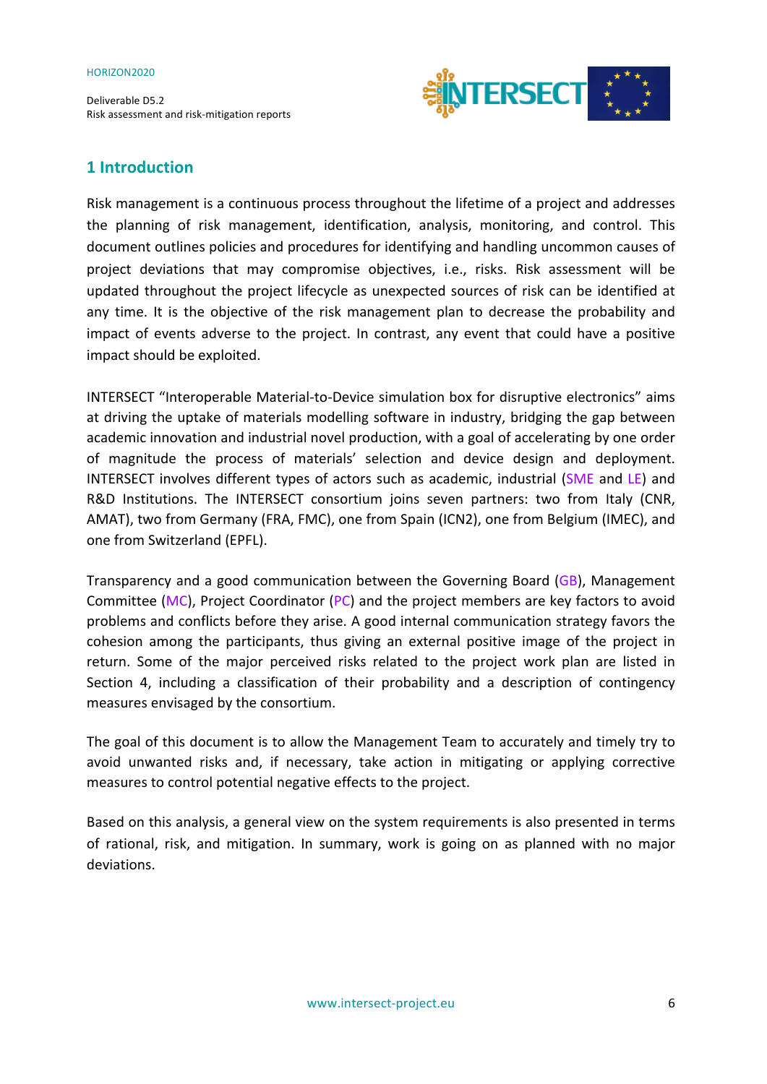Deliverable D5.2 Risk assessment and risk-mitigation reports



## **1 Introduction**

Risk management is a continuous process throughout the lifetime of a project and addresses the planning of risk management, identification, analysis, monitoring, and control. This document outlines policies and procedures for identifying and handling uncommon causes of project deviations that may compromise objectives, i.e., risks. Risk assessment will be updated throughout the project lifecycle as unexpected sources of risk can be identified at any time. It is the objective of the risk management plan to decrease the probability and impact of events adverse to the project. In contrast, any event that could have a positive impact should be exploited.

INTERSECT "Interoperable Material-to-Device simulation box for disruptive electronics" aims at driving the uptake of materials modelling software in industry, bridging the gap between academic innovation and industrial novel production, with a goal of accelerating by one order of magnitude the process of materials' selection and device design and deployment. INTERSECT involves different types of actors such as academic, industrial (SME and LE) and R&D Institutions. The INTERSECT consortium joins seven partners: two from Italy (CNR, AMAT), two from Germany (FRA, FMC), one from Spain (ICN2), one from Belgium (IMEC), and one from Switzerland (EPFL).

Transparency and a good communication between the Governing Board  $(GB)$ , Management Committee (MC), Project Coordinator (PC) and the project members are key factors to avoid problems and conflicts before they arise. A good internal communication strategy favors the cohesion among the participants, thus giving an external positive image of the project in return. Some of the major perceived risks related to the project work plan are listed in Section 4, including a classification of their probability and a description of contingency measures envisaged by the consortium.

The goal of this document is to allow the Management Team to accurately and timely try to avoid unwanted risks and, if necessary, take action in mitigating or applying corrective measures to control potential negative effects to the project.

Based on this analysis, a general view on the system requirements is also presented in terms of rational, risk, and mitigation. In summary, work is going on as planned with no major deviations.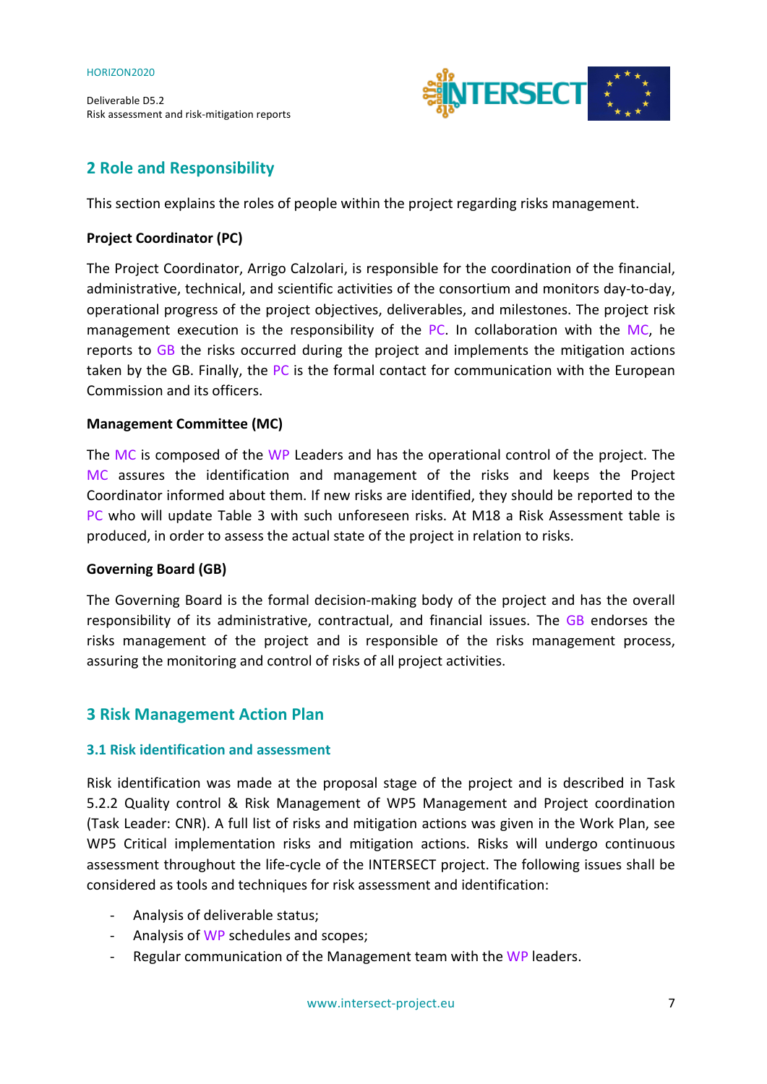

## **2 Role and Responsibility**

This section explains the roles of people within the project regarding risks management.

#### **Project Coordinator (PC)**

The Project Coordinator, Arrigo Calzolari, is responsible for the coordination of the financial, administrative, technical, and scientific activities of the consortium and monitors day-to-day, operational progress of the project objectives, deliverables, and milestones. The project risk management execution is the responsibility of the PC. In collaboration with the MC, he reports to  $GB$  the risks occurred during the project and implements the mitigation actions taken by the GB. Finally, the PC is the formal contact for communication with the European Commission and its officers.

#### **Management Committee (MC)**

The MC is composed of the WP Leaders and has the operational control of the project. The MC assures the identification and management of the risks and keeps the Project Coordinator informed about them. If new risks are identified, they should be reported to the PC who will update Table 3 with such unforeseen risks. At M18 a Risk Assessment table is produced, in order to assess the actual state of the project in relation to risks.

#### Governing Board (GB)

The Governing Board is the formal decision-making body of the project and has the overall responsibility of its administrative, contractual, and financial issues. The GB endorses the risks management of the project and is responsible of the risks management process, assuring the monitoring and control of risks of all project activities.

#### **3 Risk Management Action Plan**

#### **3.1 Risk identification and assessment**

Risk identification was made at the proposal stage of the project and is described in Task 5.2.2 Quality control & Risk Management of WP5 Management and Project coordination (Task Leader: CNR). A full list of risks and mitigation actions was given in the Work Plan, see WP5 Critical implementation risks and mitigation actions. Risks will undergo continuous assessment throughout the life-cycle of the INTERSECT project. The following issues shall be considered as tools and techniques for risk assessment and identification:

- Analysis of deliverable status;
- Analysis of WP schedules and scopes;
- Regular communication of the Management team with the WP leaders.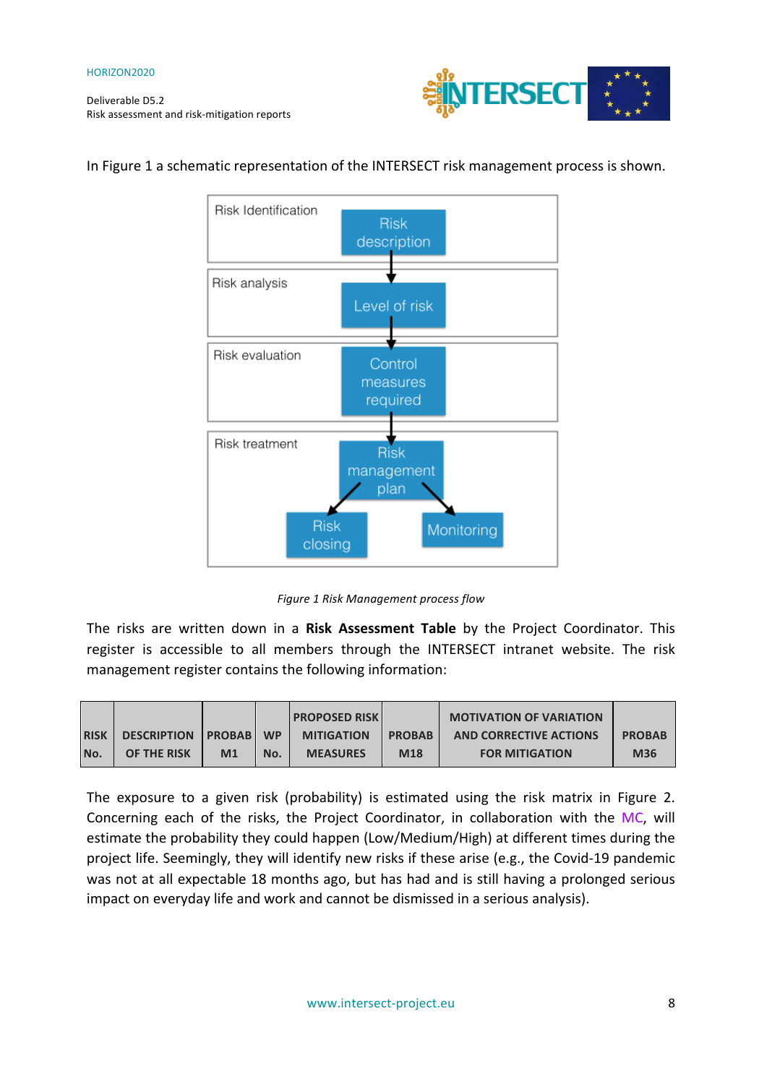

## **Risk Identification Risk** description Risk analysis Level of risk Risk evaluation Control measures required Risk treatment **Risk** management plan **Risk** Monitoring closing

#### In Figure 1 a schematic representation of the INTERSECT risk management process is shown.

*Figure 1 Risk Management process flow*

The risks are written down in a Risk Assessment Table by the Project Coordinator. This register is accessible to all members through the INTERSECT intranet website. The risk management register contains the following information:

|             |                               |                |           | <b>PROPOSED RISK</b> |               | <b>MOTIVATION OF VARIATION</b> |               |
|-------------|-------------------------------|----------------|-----------|----------------------|---------------|--------------------------------|---------------|
| <b>RISK</b> | <b>DESCRIPTION   PROBAB  </b> |                | <b>WP</b> | <b>MITIGATION</b>    | <b>PROBAB</b> | <b>AND CORRECTIVE ACTIONS</b>  | <b>PROBAB</b> |
| No.         | OF THE RISK                   | M <sub>1</sub> | No.       | <b>MEASURES</b>      | M18           | <b>FOR MITIGATION</b>          | <b>M36</b>    |

The exposure to a given risk (probability) is estimated using the risk matrix in Figure 2. Concerning each of the risks, the Project Coordinator, in collaboration with the MC, will estimate the probability they could happen (Low/Medium/High) at different times during the project life. Seemingly, they will identify new risks if these arise (e.g., the Covid-19 pandemic was not at all expectable 18 months ago, but has had and is still having a prolonged serious impact on everyday life and work and cannot be dismissed in a serious analysis).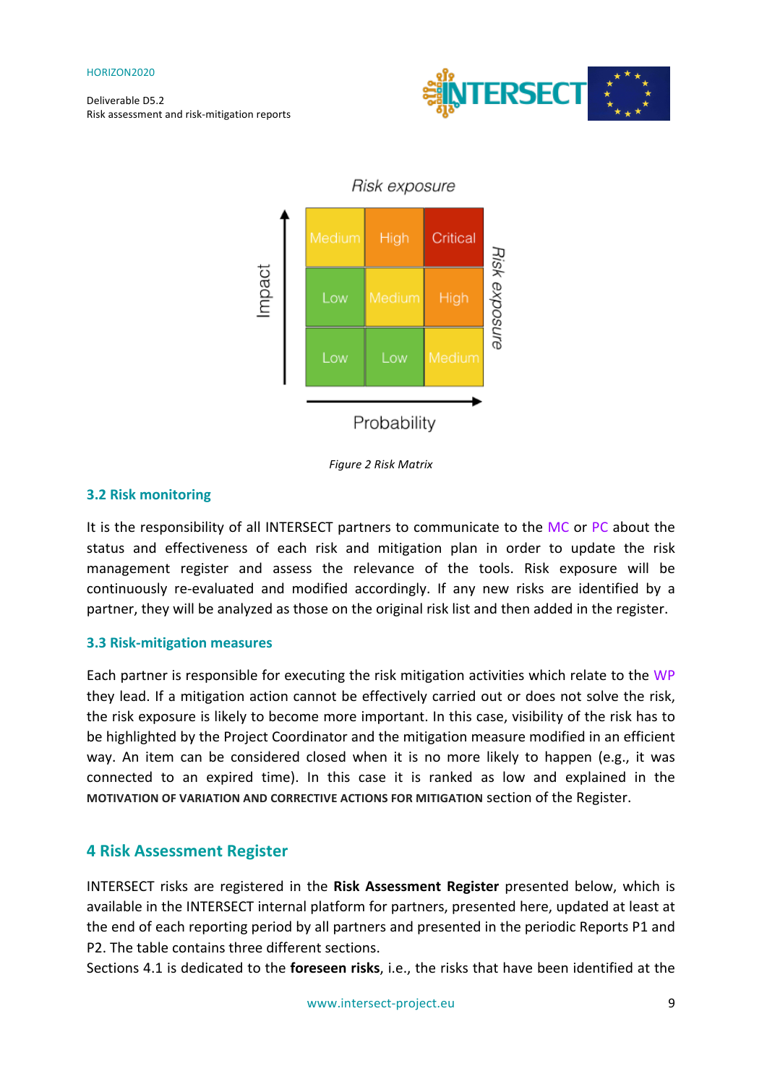



*Figure 2 Risk Matrix*

#### **3.2 Risk monitoring**

It is the responsibility of all INTERSECT partners to communicate to the MC or PC about the status and effectiveness of each risk and mitigation plan in order to update the risk management register and assess the relevance of the tools. Risk exposure will be continuously re-evaluated and modified accordingly. If any new risks are identified by a partner, they will be analyzed as those on the original risk list and then added in the register.

#### **3.3 Risk-mitigation measures**

Each partner is responsible for executing the risk mitigation activities which relate to the WP they lead. If a mitigation action cannot be effectively carried out or does not solve the risk, the risk exposure is likely to become more important. In this case, visibility of the risk has to be highlighted by the Project Coordinator and the mitigation measure modified in an efficient way. An item can be considered closed when it is no more likely to happen (e.g., it was connected to an expired time). In this case it is ranked as low and explained in the **MOTIVATION OF VARIATION AND CORRECTIVE ACTIONS FOR MITIGATION Section of the Register.** 

#### **4 Risk Assessment Register**

INTERSECT risks are registered in the Risk Assessment Register presented below, which is available in the INTERSECT internal platform for partners, presented here, updated at least at the end of each reporting period by all partners and presented in the periodic Reports P1 and P2. The table contains three different sections.

Sections 4.1 is dedicated to the **foreseen risks**, i.e., the risks that have been identified at the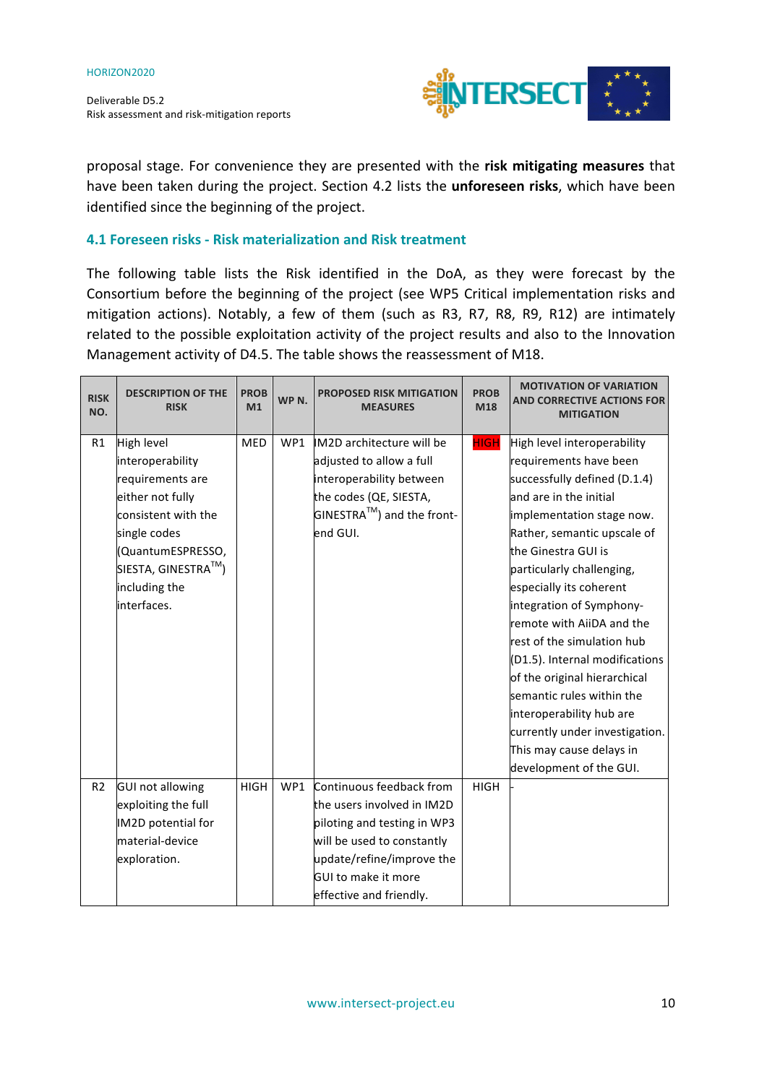

proposal stage. For convenience they are presented with the risk mitigating measures that have been taken during the project. Section 4.2 lists the *unforeseen risks*, which have been identified since the beginning of the project.

#### **4.1 Foreseen risks - Risk materialization and Risk treatment**

The following table lists the Risk identified in the DoA, as they were forecast by the Consortium before the beginning of the project (see WP5 Critical implementation risks and mitigation actions). Notably, a few of them (such as R3, R7, R8, R9, R12) are intimately related to the possible exploitation activity of the project results and also to the Innovation Management activity of D4.5. The table shows the reassessment of M18.

| <b>RISK</b><br>NO. | <b>DESCRIPTION OF THE</b><br><b>RISK</b>          | <b>PROB</b><br>M1 | WP <sub>N</sub> . | <b>PROPOSED RISK MITIGATION</b><br><b>MEASURES</b> | <b>PROB</b><br>M18 | <b>MOTIVATION OF VARIATION</b><br><b>AND CORRECTIVE ACTIONS FOR</b><br><b>MITIGATION</b> |
|--------------------|---------------------------------------------------|-------------------|-------------------|----------------------------------------------------|--------------------|------------------------------------------------------------------------------------------|
| R1                 | High level                                        | <b>MED</b>        | WP1               | IM2D architecture will be                          | <b>HIGH</b>        | High level interoperability                                                              |
|                    | interoperability                                  |                   |                   | adjusted to allow a full                           |                    | requirements have been                                                                   |
|                    | requirements are                                  |                   |                   | interoperability between                           |                    | successfully defined (D.1.4)                                                             |
|                    | either not fully                                  |                   |                   | the codes (QE, SIESTA,                             |                    | and are in the initial                                                                   |
|                    | consistent with the                               |                   |                   | $\mathsf{GINESTRA}^{\mathsf{TM}}$ ) and the front- |                    | implementation stage now.                                                                |
|                    | single codes                                      |                   |                   | end GUI.                                           |                    | Rather, semantic upscale of                                                              |
|                    | (QuantumESPRESSO,                                 |                   |                   |                                                    |                    | the Ginestra GUI is                                                                      |
|                    | SIESTA, GINESTRA $^{\text{\tiny{\textsf{TM}}}}$ ) |                   |                   |                                                    |                    | particularly challenging,                                                                |
|                    | including the                                     |                   |                   |                                                    |                    | especially its coherent                                                                  |
|                    | interfaces.                                       |                   |                   |                                                    |                    | integration of Symphony-                                                                 |
|                    |                                                   |                   |                   |                                                    |                    | remote with AiiDA and the                                                                |
|                    |                                                   |                   |                   |                                                    |                    | rest of the simulation hub                                                               |
|                    |                                                   |                   |                   |                                                    |                    | (D1.5). Internal modifications                                                           |
|                    |                                                   |                   |                   |                                                    |                    | of the original hierarchical                                                             |
|                    |                                                   |                   |                   |                                                    |                    | semantic rules within the                                                                |
|                    |                                                   |                   |                   |                                                    |                    | interoperability hub are                                                                 |
|                    |                                                   |                   |                   |                                                    |                    | currently under investigation.                                                           |
|                    |                                                   |                   |                   |                                                    |                    | This may cause delays in                                                                 |
|                    |                                                   |                   |                   |                                                    |                    | development of the GUI.                                                                  |
| R <sub>2</sub>     | <b>GUI not allowing</b>                           | <b>HIGH</b>       | WP1               | Continuous feedback from                           | <b>HIGH</b>        |                                                                                          |
|                    | exploiting the full                               |                   |                   | the users involved in IM2D                         |                    |                                                                                          |
|                    | IM2D potential for                                |                   |                   | piloting and testing in WP3                        |                    |                                                                                          |
|                    | material-device                                   |                   |                   | will be used to constantly                         |                    |                                                                                          |
|                    | exploration.                                      |                   |                   | update/refine/improve the                          |                    |                                                                                          |
|                    |                                                   |                   |                   | <b>GUI to make it more</b>                         |                    |                                                                                          |
|                    |                                                   |                   |                   | effective and friendly.                            |                    |                                                                                          |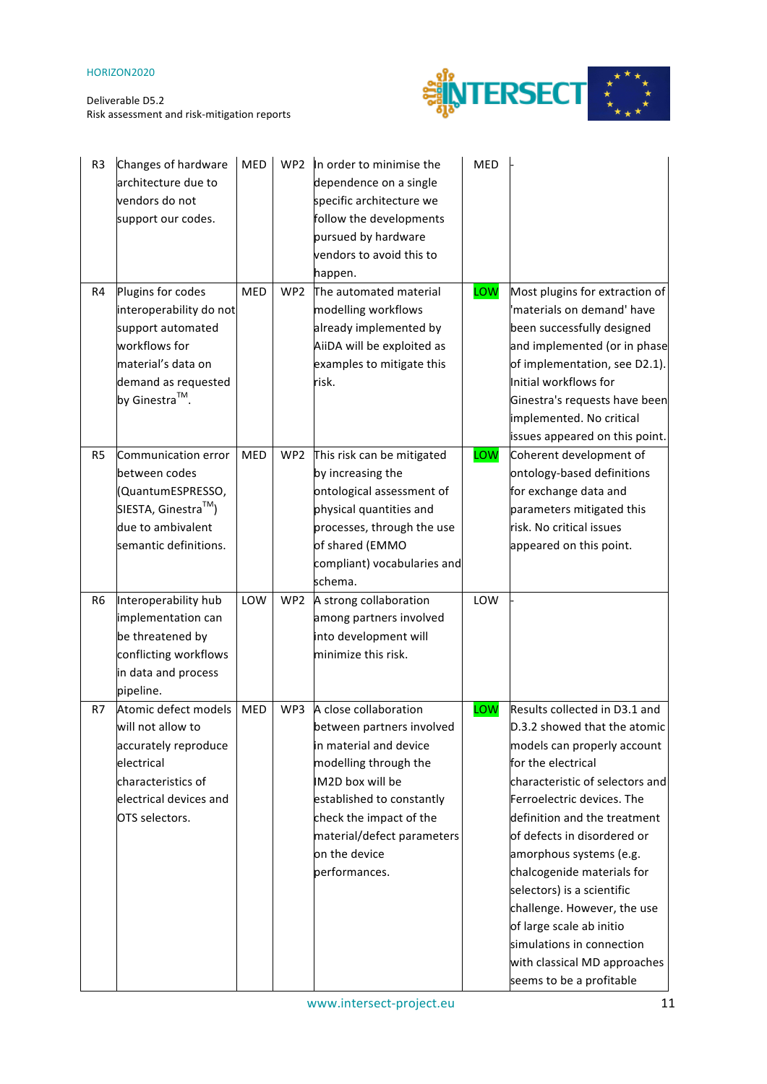

| R <sub>3</sub> | Changes of hardware<br>architecture due to<br>vendors do not<br>support our codes.                                                                           | MED        | WP <sub>2</sub> | In order to minimise the<br>dependence on a single<br>specific architecture we<br>follow the developments<br>pursued by hardware<br>vendors to avoid this to<br>happen.                                                                           | MED |                                                                                                                                                                                                                                                                                                                                                                                                                                                                                               |
|----------------|--------------------------------------------------------------------------------------------------------------------------------------------------------------|------------|-----------------|---------------------------------------------------------------------------------------------------------------------------------------------------------------------------------------------------------------------------------------------------|-----|-----------------------------------------------------------------------------------------------------------------------------------------------------------------------------------------------------------------------------------------------------------------------------------------------------------------------------------------------------------------------------------------------------------------------------------------------------------------------------------------------|
| R4             | Plugins for codes<br>interoperability do not<br>support automated<br>workflows for<br>material's data on<br>demand as requested<br>by Ginestra™.             | <b>MED</b> | WP <sub>2</sub> | The automated material<br>modelling workflows<br>already implemented by<br>AiiDA will be exploited as<br>examples to mitigate this<br>risk.                                                                                                       | LOW | Most plugins for extraction of<br>'materials on demand' have<br>been successfully designed<br>and implemented (or in phase<br>of implementation, see D2.1).<br>Initial workflows for<br>Ginestra's requests have been<br>implemented. No critical<br>issues appeared on this point.                                                                                                                                                                                                           |
| R <sub>5</sub> | Communication error<br>between codes<br>(QuantumESPRESSO,<br>SIESTA, Ginestra $^{\text{\tiny{\textsf{TM}}}}$ )<br>due to ambivalent<br>semantic definitions. | <b>MED</b> | WP <sub>2</sub> | This risk can be mitigated<br>by increasing the<br>ontological assessment of<br>physical quantities and<br>processes, through the use<br>of shared (EMMO<br>compliant) vocabularies and<br>schema.                                                | LOW | Coherent development of<br>ontology-based definitions<br>for exchange data and<br>parameters mitigated this<br>risk. No critical issues<br>appeared on this point.                                                                                                                                                                                                                                                                                                                            |
| R <sub>6</sub> | Interoperability hub<br>implementation can<br>be threatened by<br>conflicting workflows<br>in data and process<br>pipeline.                                  | LOW        | WP <sub>2</sub> | A strong collaboration<br>among partners involved<br>into development will<br>minimize this risk.                                                                                                                                                 | LOW |                                                                                                                                                                                                                                                                                                                                                                                                                                                                                               |
| R7             | Atomic defect models<br>will not allow to<br>accurately reproduce<br>electrical<br>characteristics of<br>electrical devices and<br>OTS selectors.            | MED        | WP3             | A close collaboration<br>between partners involved<br>in material and device<br>modelling through the<br>IM2D box will be<br>established to constantly<br>check the impact of the<br>material/defect parameters<br>on the device<br>performances. | LOW | Results collected in D3.1 and<br>D.3.2 showed that the atomic<br>models can properly account<br>for the electrical<br>characteristic of selectors and<br>Ferroelectric devices. The<br>definition and the treatment<br>of defects in disordered or<br>amorphous systems (e.g.<br>chalcogenide materials for<br>selectors) is a scientific<br>challenge. However, the use<br>of large scale ab initio<br>simulations in connection<br>with classical MD approaches<br>seems to be a profitable |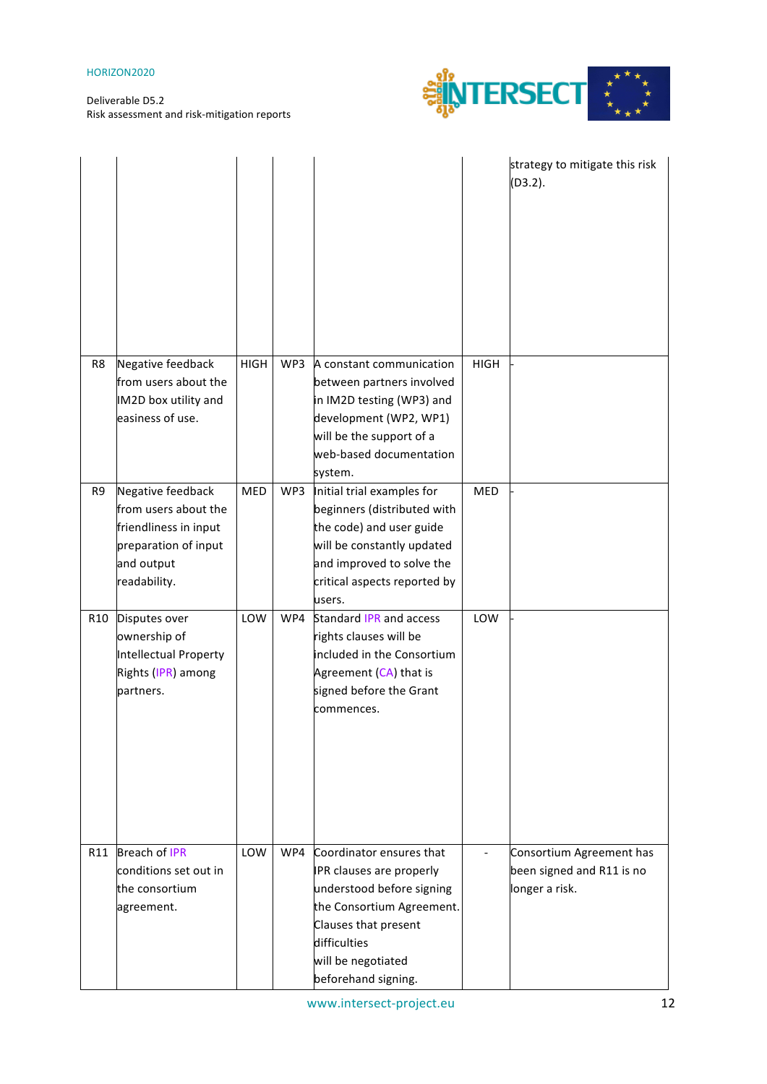

|     |                                                                                                                          |             |     |                                                                                                                                                                                                     |             | strategy to mitigate this risk<br>(D3.2).                               |
|-----|--------------------------------------------------------------------------------------------------------------------------|-------------|-----|-----------------------------------------------------------------------------------------------------------------------------------------------------------------------------------------------------|-------------|-------------------------------------------------------------------------|
| R8  | Negative feedback<br>from users about the<br>IM2D box utility and<br>easiness of use.                                    | <b>HIGH</b> | WP3 | A constant communication<br>between partners involved<br>in IM2D testing (WP3) and<br>development (WP2, WP1)<br>will be the support of a<br>web-based documentation<br>system.                      | <b>HIGH</b> |                                                                         |
| R9  | Negative feedback<br>from users about the<br>friendliness in input<br>preparation of input<br>and output<br>readability. | MED         | WP3 | Initial trial examples for<br>beginners (distributed with<br>the code) and user guide<br>will be constantly updated<br>and improved to solve the<br>critical aspects reported by<br>users.          | <b>MED</b>  |                                                                         |
| R10 | Disputes over<br>ownership of<br><b>Intellectual Property</b><br>Rights (IPR) among<br>partners.                         | LOW         | WP4 | Standard IPR and access<br>rights clauses will be<br>included in the Consortium<br>Agreement (CA) that is<br>signed before the Grant<br>commences.                                                  | LOW         |                                                                         |
| R11 | <b>Breach of IPR</b><br>conditions set out in<br>the consortium<br>agreement.                                            | LOW         | WP4 | Coordinator ensures that<br>IPR clauses are properly<br>understood before signing<br>the Consortium Agreement.<br>Clauses that present<br>difficulties<br>will be negotiated<br>beforehand signing. |             | Consortium Agreement has<br>been signed and R11 is no<br>longer a risk. |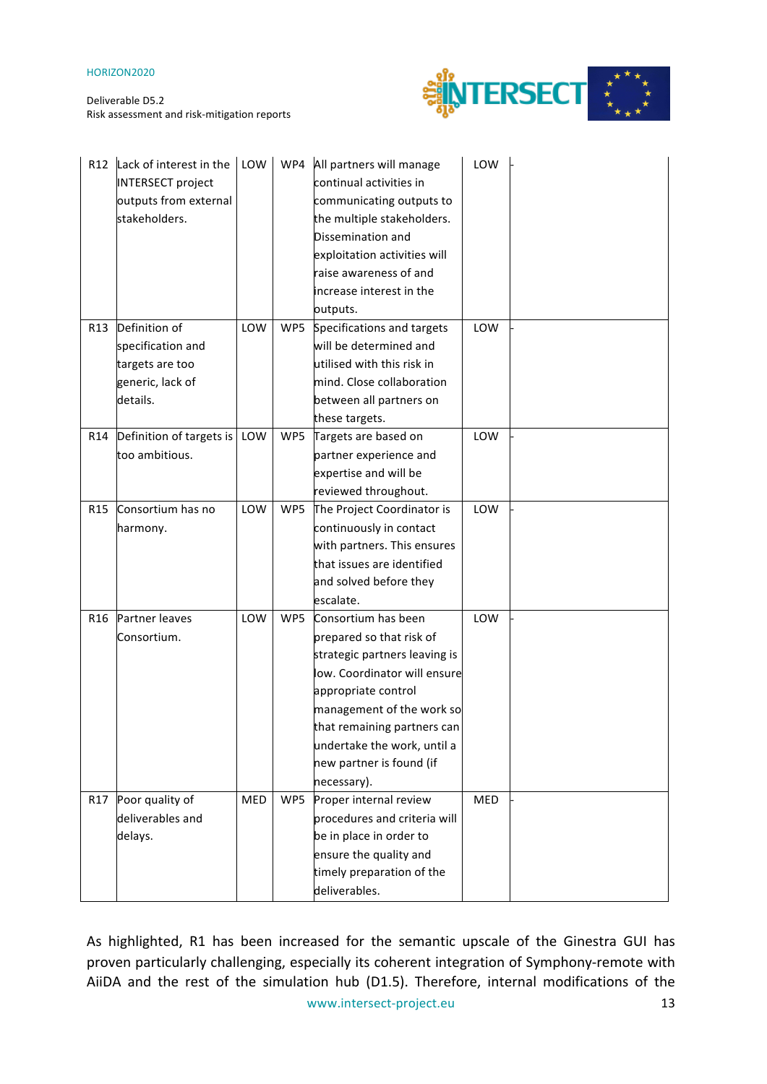

| R12             | Lack of interest in the<br><b>INTERSECT project</b><br>outputs from external<br>stakeholders. | LOW |     | WP4 All partners will manage<br>continual activities in<br>communicating outputs to<br>the multiple stakeholders.<br>Dissemination and<br>exploitation activities will<br>raise awareness of and<br>increase interest in the<br>outputs. | LOW |  |
|-----------------|-----------------------------------------------------------------------------------------------|-----|-----|------------------------------------------------------------------------------------------------------------------------------------------------------------------------------------------------------------------------------------------|-----|--|
| R <sub>13</sub> | Definition of                                                                                 | LOW | WP5 | Specifications and targets                                                                                                                                                                                                               | LOW |  |
|                 | specification and                                                                             |     |     | will be determined and                                                                                                                                                                                                                   |     |  |
|                 | targets are too                                                                               |     |     | utilised with this risk in                                                                                                                                                                                                               |     |  |
|                 | generic, lack of                                                                              |     |     | mind. Close collaboration                                                                                                                                                                                                                |     |  |
|                 | details.                                                                                      |     |     | between all partners on                                                                                                                                                                                                                  |     |  |
|                 |                                                                                               |     |     | these targets.                                                                                                                                                                                                                           |     |  |
| R14             | Definition of targets is                                                                      | LOW | WP5 | Targets are based on                                                                                                                                                                                                                     | LOW |  |
|                 | too ambitious.                                                                                |     |     | partner experience and                                                                                                                                                                                                                   |     |  |
|                 |                                                                                               |     |     | expertise and will be                                                                                                                                                                                                                    |     |  |
|                 |                                                                                               |     |     | reviewed throughout.                                                                                                                                                                                                                     |     |  |
| R <sub>15</sub> | Consortium has no                                                                             | LOW | WP5 | The Project Coordinator is                                                                                                                                                                                                               | LOW |  |
|                 | harmony.                                                                                      |     |     | continuously in contact                                                                                                                                                                                                                  |     |  |
|                 |                                                                                               |     |     | with partners. This ensures                                                                                                                                                                                                              |     |  |
|                 |                                                                                               |     |     | that issues are identified                                                                                                                                                                                                               |     |  |
|                 |                                                                                               |     |     | and solved before they                                                                                                                                                                                                                   |     |  |
|                 |                                                                                               |     |     | escalate.                                                                                                                                                                                                                                |     |  |
| R <sub>16</sub> | Partner leaves                                                                                | LOW | WP5 | Consortium has been                                                                                                                                                                                                                      | LOW |  |
|                 | Consortium.                                                                                   |     |     | prepared so that risk of                                                                                                                                                                                                                 |     |  |
|                 |                                                                                               |     |     | strategic partners leaving is                                                                                                                                                                                                            |     |  |
|                 |                                                                                               |     |     | low. Coordinator will ensure                                                                                                                                                                                                             |     |  |
|                 |                                                                                               |     |     | appropriate control                                                                                                                                                                                                                      |     |  |
|                 |                                                                                               |     |     | management of the work so                                                                                                                                                                                                                |     |  |
|                 |                                                                                               |     |     | that remaining partners can                                                                                                                                                                                                              |     |  |
|                 |                                                                                               |     |     | undertake the work, until a                                                                                                                                                                                                              |     |  |
|                 |                                                                                               |     |     | new partner is found (if                                                                                                                                                                                                                 |     |  |
|                 |                                                                                               |     |     | necessary).                                                                                                                                                                                                                              |     |  |
| R17             | Poor quality of                                                                               | MED | WP5 | Proper internal review                                                                                                                                                                                                                   | MED |  |
|                 | deliverables and                                                                              |     |     | procedures and criteria will                                                                                                                                                                                                             |     |  |
|                 | delays.                                                                                       |     |     | be in place in order to                                                                                                                                                                                                                  |     |  |
|                 |                                                                                               |     |     | ensure the quality and                                                                                                                                                                                                                   |     |  |
|                 |                                                                                               |     |     | timely preparation of the                                                                                                                                                                                                                |     |  |
|                 |                                                                                               |     |     | deliverables.                                                                                                                                                                                                                            |     |  |

www.intersect-project.eu 13 As highlighted, R1 has been increased for the semantic upscale of the Ginestra GUI has proven particularly challenging, especially its coherent integration of Symphony-remote with AiiDA and the rest of the simulation hub (D1.5). Therefore, internal modifications of the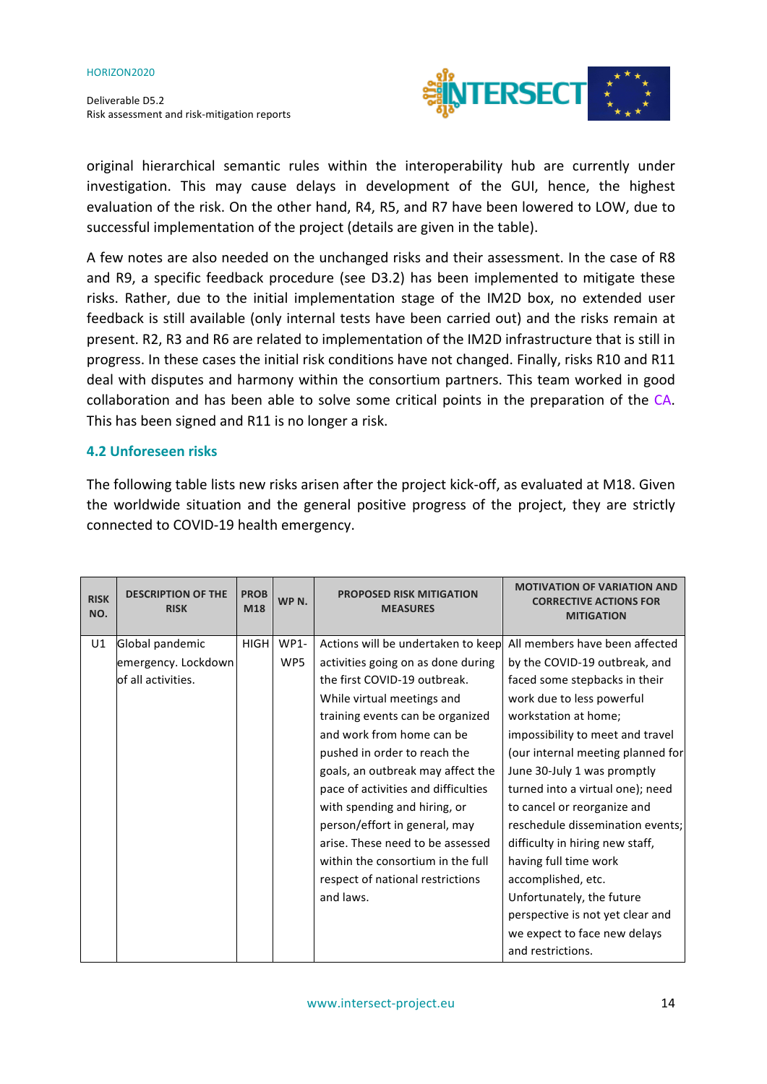

original hierarchical semantic rules within the interoperability hub are currently under investigation. This may cause delays in development of the GUI, hence, the highest evaluation of the risk. On the other hand, R4, R5, and R7 have been lowered to LOW, due to successful implementation of the project (details are given in the table).

A few notes are also needed on the unchanged risks and their assessment. In the case of R8 and R9, a specific feedback procedure (see D3.2) has been implemented to mitigate these risks. Rather, due to the initial implementation stage of the IM2D box, no extended user feedback is still available (only internal tests have been carried out) and the risks remain at present. R2, R3 and R6 are related to implementation of the IM2D infrastructure that is still in progress. In these cases the initial risk conditions have not changed. Finally, risks R10 and R11 deal with disputes and harmony within the consortium partners. This team worked in good collaboration and has been able to solve some critical points in the preparation of the CA. This has been signed and R11 is no longer a risk.

#### **4.2 Unforeseen risks**

The following table lists new risks arisen after the project kick-off, as evaluated at M18. Given the worldwide situation and the general positive progress of the project, they are strictly connected to COVID-19 health emergency.

| <b>RISK</b><br>NO. | <b>DESCRIPTION OF THE</b><br><b>RISK</b> | <b>PROB</b><br>M18 | WP <sub>N</sub> . | <b>PROPOSED RISK MITIGATION</b><br><b>MEASURES</b> | <b>MOTIVATION OF VARIATION AND</b><br><b>CORRECTIVE ACTIONS FOR</b><br><b>MITIGATION</b> |
|--------------------|------------------------------------------|--------------------|-------------------|----------------------------------------------------|------------------------------------------------------------------------------------------|
| U1                 | Global pandemic                          | <b>HIGH</b>        | <b>WP1-</b>       | Actions will be undertaken to keep                 | All members have been affected                                                           |
|                    | emergency. Lockdown                      |                    | WP5               | activities going on as done during                 | by the COVID-19 outbreak, and                                                            |
|                    | of all activities.                       |                    |                   | the first COVID-19 outbreak.                       | faced some stepbacks in their                                                            |
|                    |                                          |                    |                   | While virtual meetings and                         | work due to less powerful                                                                |
|                    |                                          |                    |                   | training events can be organized                   | workstation at home;                                                                     |
|                    |                                          |                    |                   | and work from home can be                          | impossibility to meet and travel                                                         |
|                    |                                          |                    |                   | pushed in order to reach the                       | (our internal meeting planned for                                                        |
|                    |                                          |                    |                   | goals, an outbreak may affect the                  | June 30-July 1 was promptly                                                              |
|                    |                                          |                    |                   | pace of activities and difficulties                | turned into a virtual one); need                                                         |
|                    |                                          |                    |                   | with spending and hiring, or                       | to cancel or reorganize and                                                              |
|                    |                                          |                    |                   | person/effort in general, may                      | reschedule dissemination events;                                                         |
|                    |                                          |                    |                   | arise. These need to be assessed                   | difficulty in hiring new staff,                                                          |
|                    |                                          |                    |                   | within the consortium in the full                  | having full time work                                                                    |
|                    |                                          |                    |                   | respect of national restrictions                   | accomplished, etc.                                                                       |
|                    |                                          |                    |                   | and laws.                                          | Unfortunately, the future                                                                |
|                    |                                          |                    |                   |                                                    | perspective is not yet clear and                                                         |
|                    |                                          |                    |                   |                                                    | we expect to face new delays                                                             |
|                    |                                          |                    |                   |                                                    | and restrictions.                                                                        |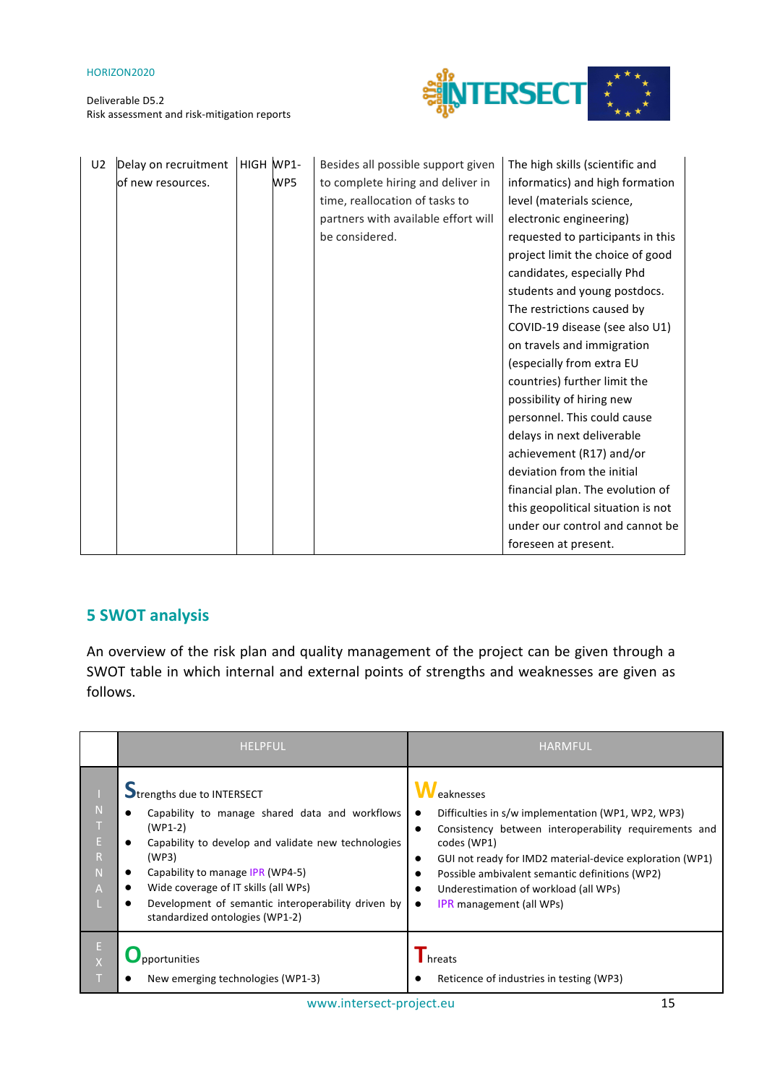

| U <sub>2</sub> | Delay on recruitment | HIGH WP1- |     | Besides all possible support given  | The high skills (scientific and    |
|----------------|----------------------|-----------|-----|-------------------------------------|------------------------------------|
|                | of new resources.    |           | WP5 | to complete hiring and deliver in   | informatics) and high formation    |
|                |                      |           |     | time, reallocation of tasks to      | level (materials science,          |
|                |                      |           |     | partners with available effort will | electronic engineering)            |
|                |                      |           |     | be considered.                      | requested to participants in this  |
|                |                      |           |     |                                     | project limit the choice of good   |
|                |                      |           |     |                                     | candidates, especially Phd         |
|                |                      |           |     |                                     | students and young postdocs.       |
|                |                      |           |     |                                     | The restrictions caused by         |
|                |                      |           |     |                                     | COVID-19 disease (see also U1)     |
|                |                      |           |     |                                     | on travels and immigration         |
|                |                      |           |     |                                     | (especially from extra EU          |
|                |                      |           |     |                                     | countries) further limit the       |
|                |                      |           |     |                                     | possibility of hiring new          |
|                |                      |           |     |                                     | personnel. This could cause        |
|                |                      |           |     |                                     | delays in next deliverable         |
|                |                      |           |     |                                     | achievement (R17) and/or           |
|                |                      |           |     |                                     | deviation from the initial         |
|                |                      |           |     |                                     | financial plan. The evolution of   |
|                |                      |           |     |                                     | this geopolitical situation is not |
|                |                      |           |     |                                     | under our control and cannot be    |
|                |                      |           |     |                                     | foreseen at present.               |

## **5 SWOT analysis**

An overview of the risk plan and quality management of the project can be given through a SWOT table in which internal and external points of strengths and weaknesses are given as follows. 

|                                               | <b>HELPFUL</b>                                                                                                                                                                                                                                                                                                                 | <b>HARMFUL</b>                                                                                                                                                                                                                                                                                                                                 |
|-----------------------------------------------|--------------------------------------------------------------------------------------------------------------------------------------------------------------------------------------------------------------------------------------------------------------------------------------------------------------------------------|------------------------------------------------------------------------------------------------------------------------------------------------------------------------------------------------------------------------------------------------------------------------------------------------------------------------------------------------|
| N<br>E<br>$\mathsf{R}$<br>N<br>$\overline{A}$ | Strengths due to INTERSECT<br>Capability to manage shared data and workflows<br>$(WP1-2)$<br>Capability to develop and validate new technologies<br>(WP3)<br>Capability to manage IPR (WP4-5)<br>Wide coverage of IT skills (all WPs)<br>Development of semantic interoperability driven by<br>standardized ontologies (WP1-2) | eaknesses<br>Difficulties in s/w implementation (WP1, WP2, WP3)<br>$\bullet$<br>Consistency between interoperability requirements and<br>codes (WP1)<br>GUI not ready for IMD2 material-device exploration (WP1)<br>Possible ambivalent semantic definitions (WP2)<br>Underestimation of workload (all WPs)<br><b>IPR</b> management (all WPs) |
| E                                             | pportunities<br>New emerging technologies (WP1-3)                                                                                                                                                                                                                                                                              | hreats<br>Reticence of industries in testing (WP3)                                                                                                                                                                                                                                                                                             |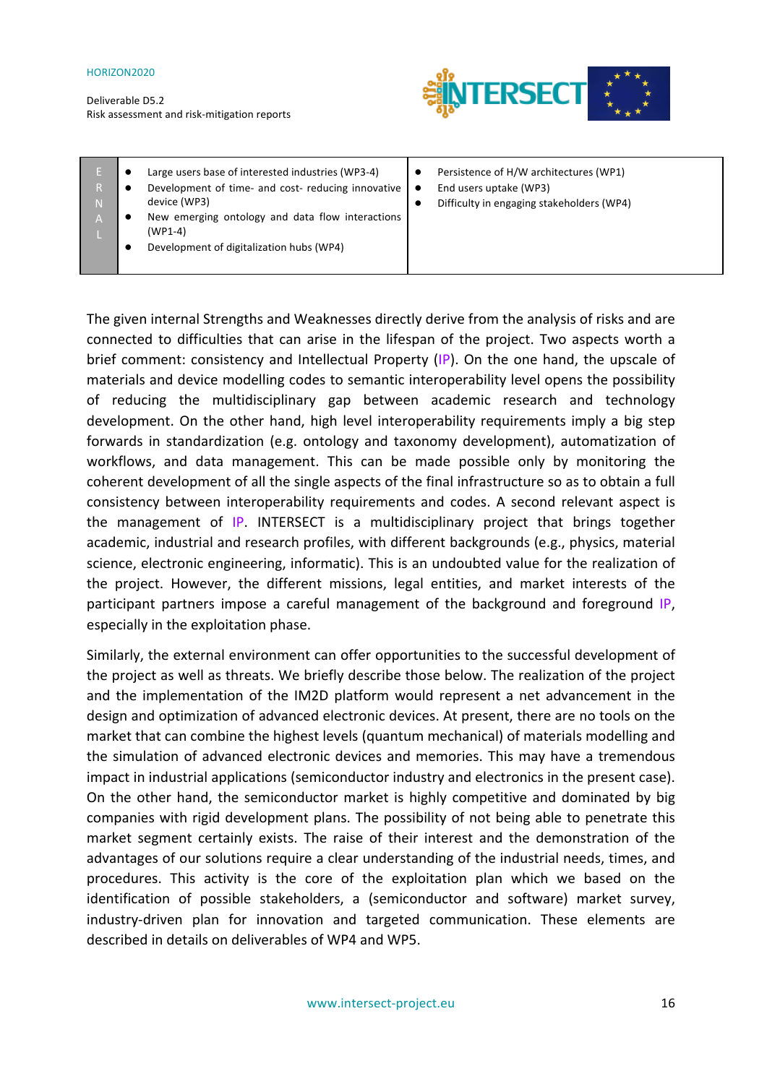Deliverable D5.2 Risk assessment and risk-mitigation reports



| 'N. | Large users base of interested industries (WP3-4)<br>Development of time- and cost- reducing innovative<br>device (WP3)<br>New emerging ontology and data flow interactions<br>$(WP1-4)$ | $\bullet$<br>$\bullet$<br>$\bullet$ | Persistence of H/W architectures (WP1)<br>End users uptake (WP3)<br>Difficulty in engaging stakeholders (WP4) |
|-----|------------------------------------------------------------------------------------------------------------------------------------------------------------------------------------------|-------------------------------------|---------------------------------------------------------------------------------------------------------------|
|     | Development of digitalization hubs (WP4)                                                                                                                                                 |                                     |                                                                                                               |

The given internal Strengths and Weaknesses directly derive from the analysis of risks and are connected to difficulties that can arise in the lifespan of the project. Two aspects worth a brief comment: consistency and Intellectual Property  $(|P|)$ . On the one hand, the upscale of materials and device modelling codes to semantic interoperability level opens the possibility of reducing the multidisciplinary gap between academic research and technology development. On the other hand, high level interoperability requirements imply a big step forwards in standardization (e.g. ontology and taxonomy development), automatization of workflows, and data management. This can be made possible only by monitoring the coherent development of all the single aspects of the final infrastructure so as to obtain a full consistency between interoperability requirements and codes. A second relevant aspect is the management of  $IP.$  INTERSECT is a multidisciplinary project that brings together academic, industrial and research profiles, with different backgrounds (e.g., physics, material science, electronic engineering, informatic). This is an undoubted value for the realization of the project. However, the different missions, legal entities, and market interests of the participant partners impose a careful management of the background and foreground IP, especially in the exploitation phase.

Similarly, the external environment can offer opportunities to the successful development of the project as well as threats. We briefly describe those below. The realization of the project and the implementation of the IM2D platform would represent a net advancement in the design and optimization of advanced electronic devices. At present, there are no tools on the market that can combine the highest levels (quantum mechanical) of materials modelling and the simulation of advanced electronic devices and memories. This may have a tremendous impact in industrial applications (semiconductor industry and electronics in the present case). On the other hand, the semiconductor market is highly competitive and dominated by big companies with rigid development plans. The possibility of not being able to penetrate this market segment certainly exists. The raise of their interest and the demonstration of the advantages of our solutions require a clear understanding of the industrial needs, times, and procedures. This activity is the core of the exploitation plan which we based on the identification of possible stakeholders, a (semiconductor and software) market survey, industry-driven plan for innovation and targeted communication. These elements are described in details on deliverables of WP4 and WP5.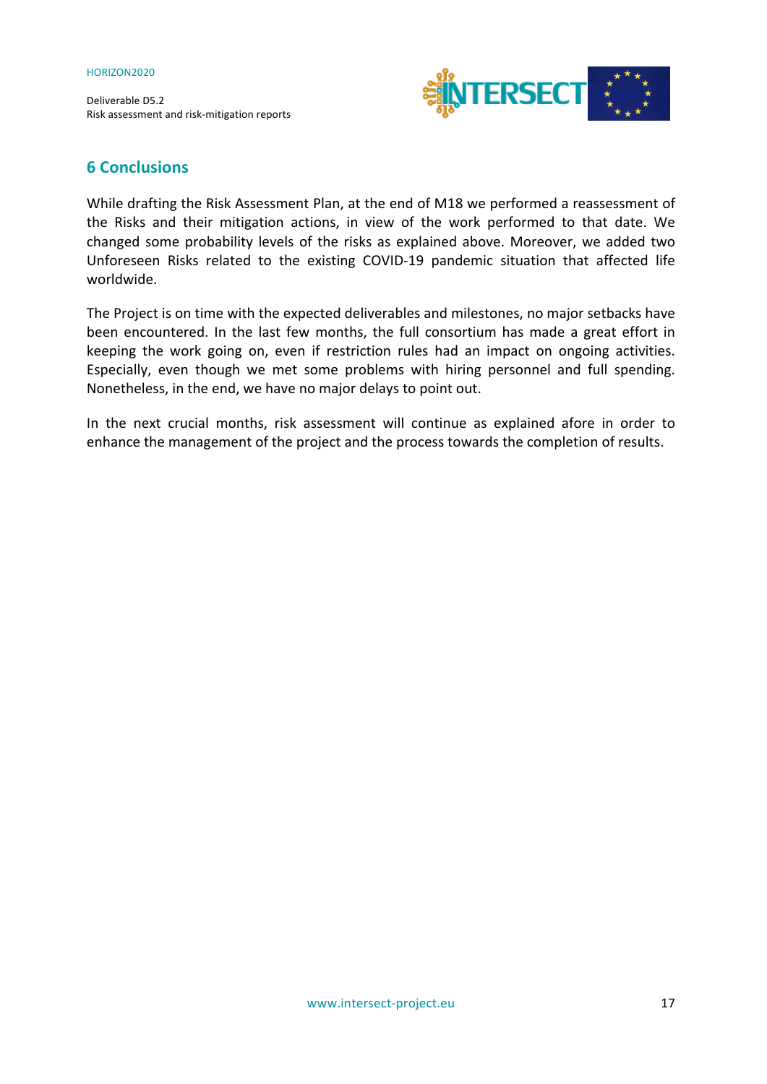

### **6 Conclusions**

While drafting the Risk Assessment Plan, at the end of M18 we performed a reassessment of the Risks and their mitigation actions, in view of the work performed to that date. We changed some probability levels of the risks as explained above. Moreover, we added two Unforeseen Risks related to the existing COVID-19 pandemic situation that affected life worldwide. 

The Project is on time with the expected deliverables and milestones, no major setbacks have been encountered. In the last few months, the full consortium has made a great effort in keeping the work going on, even if restriction rules had an impact on ongoing activities. Especially, even though we met some problems with hiring personnel and full spending. Nonetheless, in the end, we have no major delays to point out.

In the next crucial months, risk assessment will continue as explained afore in order to enhance the management of the project and the process towards the completion of results.